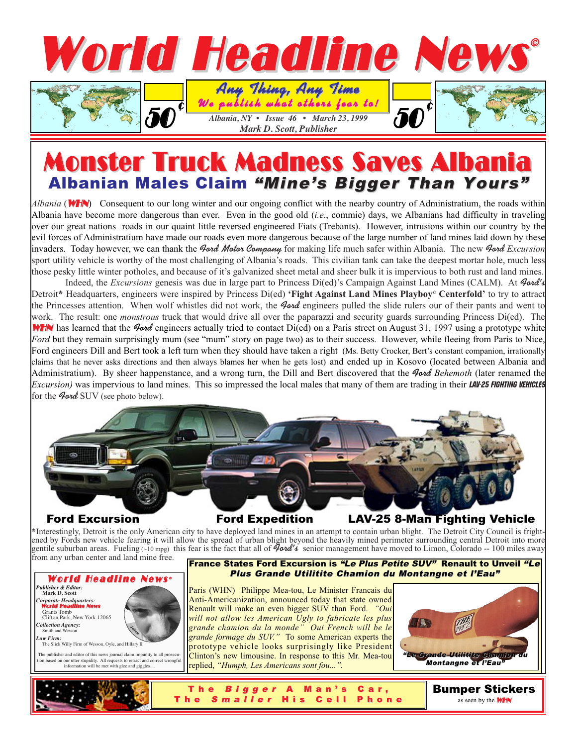

# **Monster Truck Madness Saves Albani** Albanian Males Claim "Mine's Bigger Than Yours"

*Albania* (WHN) Consequent to our long winter and our ongoing conflict with the nearby country of Administratium, the roads within Albania have become more dangerous than ever. Even in the good old (*i.e*., commie) days, we Albanians had difficulty in traveling over our great nations roads in our quaint little reversed engineered Fiats (Trebants). However, intrusions within our country by the evil forces of Administratium have made our roads even more dangerous because of the large number of land mines laid down by these invaders. Today however, we can thank the **Ford Motor Company** for making life much safer within Albania. The new **Ford** *Excursion* sport utility vehicle is worthy of the most challenging of Albania's roads. This civilian tank can take the deepest mortar hole, much less those pesky little winter potholes, and because of it's galvanized sheet metal and sheer bulk it is impervious to both rust and land mines.

Indeed, the *Excursions* genesis was due in large part to Princess Di(ed)'s Campaign Against Land Mines (CALM). At **Ford's** Detroit**\*** Headquarters, engineers were inspired by Princess Di(ed) **'Fight Against Land Mines Playboy© Centerfold'** to try to attract the Princesses attention. When wolf whistles did not work, the **Ford** engineers pulled the slide rulers our of their pants and went to work. The result: one *monstrous* truck that would drive all over the paparazzi and security guards surrounding Princess Di(ed). The WHN has learned that the *Iond* engineers actually tried to contact Di(ed) on a Paris street on August 31, 1997 using a prototype white *Ford* but they remain surprisingly mum (see "mum" story on page two) as to their success. However, while fleeing from Paris to Nice, Ford engineers Dill and Bert took a left turn when they should have taken a right (Ms. Betty Crocker, Bert's constant companion, irrationally claims that he never asks directions and then always blames her when he gets lost) and ended up in Kosovo (located between Albania and Administratium). By sheer happenstance, and a wrong turn, the Dill and Bert discovered that the **Ford** *Behemoth* (later renamed the *Excursion*) was impervious to land mines. This so impressed the local males that many of them are trading in their **LAV-25 FIGHTING VEHICLES** for the *Aord* SUV (see photo below).



Ford Excursion Ford Expedition LAV-25 8-Man Fighting Vehicle

**\***Interestingly, Detroit is the only American city to have deployed land mines in an attempt to contain urban blight. The Detroit City Council is frightened by Fords new vehicle fearing it will allow the spread of urban blight beyond the heavily mined perimeter surrounding central Detroit into more gentile suburban areas. Fueling (~10 mpg) this fear is the fact that all of **Ford's** senior management have moved to Limon, Colorado -- 100 miles away from any urban center and land mine free.